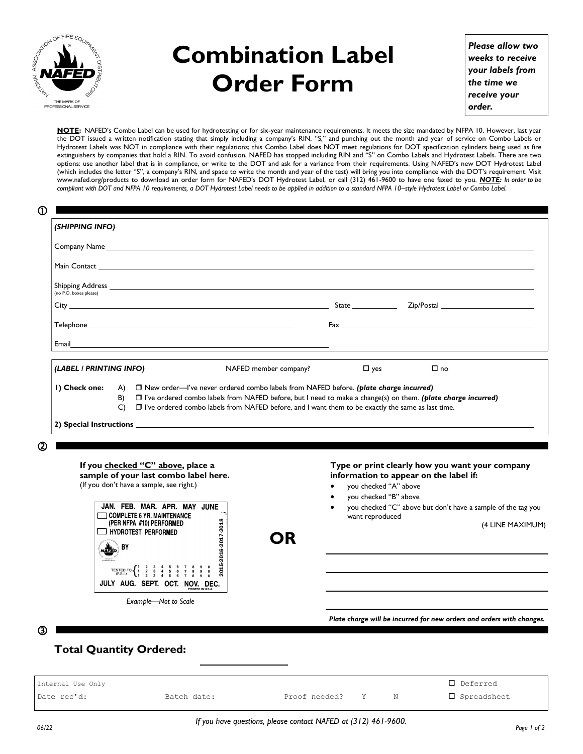

## **Combination Label Order Form**

*Please allow two weeks to receive your labels from the time we receive your order.*

**NOTE:** NAFED's Combo Label can be used for hydrotesting or for six-year maintenance requirements. It meets the size mandated by NFPA 10. However, last year the DOT issued a written notification stating that simply including a company's RIN, "S," and punching out the month and year of service on Combo Labels or Hydrotest Labels was NOT in compliance with their regulations; this Combo Label does NOT meet regulations for DOT specification cylinders being used as fire extinguishers by companies that hold a RIN. To avoid confusion, NAFED has stopped including RIN and "S" on Combo Labels and Hydrotest Labels. There are two options: use another label that is in compliance, or write to the DOT and ask for a variance from their requirements. Using NAFED's new DOT Hydrotest Label (which includes the letter "S", a company's RIN, and space to write the month and year of the test) will bring you into compliance with the DOT's requirement. Visit www.nafed.org/products to download an order form for NAFED's DOT Hydrotest Label, or call (312) 461-9600 to have one faxed to you. *NOTE: In order to be compliant with DOT and NFPA 10 requirements, a DOT Hydrotest Label needs to be applied in addition to a standard NFPA 10–style Hydrotest Label or Combo Label.*

| O                                                                                                                                                                                                                                   |                                                                                                     |                                                |                                                                                                                                                                                                                                |
|-------------------------------------------------------------------------------------------------------------------------------------------------------------------------------------------------------------------------------------|-----------------------------------------------------------------------------------------------------|------------------------------------------------|--------------------------------------------------------------------------------------------------------------------------------------------------------------------------------------------------------------------------------|
| (SHIPPING INFO)                                                                                                                                                                                                                     |                                                                                                     |                                                |                                                                                                                                                                                                                                |
|                                                                                                                                                                                                                                     |                                                                                                     |                                                |                                                                                                                                                                                                                                |
| Main Contact <u>Communications</u> and the contract of the contract of the contract of the contract of the contract of the contract of the contract of the contract of the contract of the contract of the contract of the contract |                                                                                                     |                                                |                                                                                                                                                                                                                                |
| (no P.O. boxes please)                                                                                                                                                                                                              |                                                                                                     |                                                |                                                                                                                                                                                                                                |
|                                                                                                                                                                                                                                     |                                                                                                     |                                                |                                                                                                                                                                                                                                |
|                                                                                                                                                                                                                                     |                                                                                                     |                                                | Fax and the contract of the contract of the contract of the contract of the contract of the contract of the contract of the contract of the contract of the contract of the contract of the contract of the contract of the co |
| Email                                                                                                                                                                                                                               | <u> 1989 - Johann Barnett, fransk politiker (d. 1989)</u>                                           |                                                |                                                                                                                                                                                                                                |
| (LABEL / PRINTING INFO)                                                                                                                                                                                                             | NAFED member company?                                                                               | $\Box$ yes                                     | $\square$ no                                                                                                                                                                                                                   |
| T I've ordered combo labels from NAFED before, but I need to make a change(s) on them. (plate charge incurred)<br>C)                                                                                                                | □ I've ordered combo labels from NAFED before, and I want them to be exactly the same as last time. |                                                |                                                                                                                                                                                                                                |
| $\circ$                                                                                                                                                                                                                             |                                                                                                     |                                                |                                                                                                                                                                                                                                |
| If you checked "C" above, place a<br>sample of your last combo label here.<br>(If you don't have a sample, see right.)<br>JAN. FEB. MAR. APR. MAY JUNE                                                                              |                                                                                                     | you checked "A" above<br>you checked "B" above | Type or print clearly how you want your company<br>information to appear on the label if:<br>you checked "C" above but don't have a sample of the tag you                                                                      |
| COMPLETE 6 YR. MAINTENANCE<br>(PER NFPA #10) PERFORMED<br>HYDROTEST PERFORMED<br>. BY                                                                                                                                               | OR                                                                                                  | want reproduced                                | (4 LINE MAXIMUM)                                                                                                                                                                                                               |
| TESTED TO $\begin{cases} 1 & 2 & 3 & 4 & 5 & 6 & 7 & 8 & 9 & 0 \\ 1 & 2 & 3 & 4 & 5 & 6 & 7 & 8 & 9 & 0 \\ 1 & 2 & 3 & 4 & 5 & 6 & 7 & 8 & 9 & 0 \end{cases}$<br>JULY AUG. SEPT. OCT. NOV. DEC.                                     | 2015-2016-2017-2018                                                                                 |                                                |                                                                                                                                                                                                                                |
| Example-Not to Scale                                                                                                                                                                                                                |                                                                                                     |                                                |                                                                                                                                                                                                                                |

## **Total Quantity Ordered:**

| Internal Use Only |             |               |  | $\Box$ Deferred |
|-------------------|-------------|---------------|--|-----------------|
| Date rec'd:       | Batch date: | Proof needed? |  | □ Spreadsheet   |